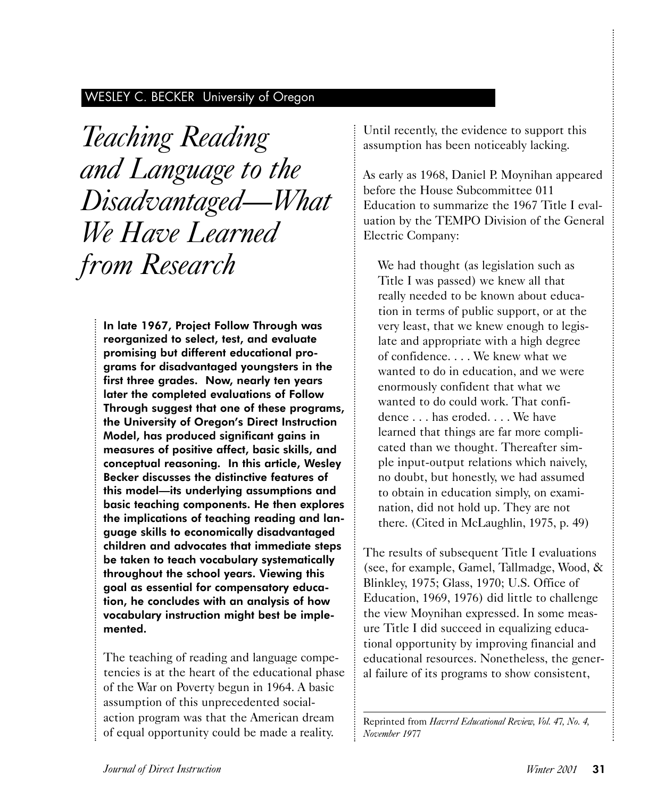#### WESLEY C. BECKER University of Oregon

*Teaching Reading and Language to the Disadvantaged—What We Have Learned from Research*

> In late 1967, Project Follow Through was reorganized to select, test, and evaluate promising but different educational programs for disadvantaged youngsters in the first three grades. Now, nearly ten years later the completed evaluations of Follow Through suggest that one of these programs, the University of Oregon's Direct Instruction Model, has produced significant gains in measures of positive affect, basic skills, and conceptual reasoning. In this article, Wesley Becker discusses the distinctive features of this model—its underlying assumptions and basic teaching components. He then explores the implications of teaching reading and language skills to economically disadvantaged children and advocates that immediate steps be taken to teach vocabulary systematically throughout the school years. Viewing this goal as essential for compensatory education, he concludes with an analysis of how vocabulary instruction might best be implemented.

> The teaching of reading and language competencies is at the heart of the educational phase of the War on Poverty begun in 1964. A basic assumption of this unprecedented socialaction program was that the American dream of equal opportunity could be made a reality.

Until recently, the evidence to support this assumption has been noticeably lacking.

As early as 1968, Daniel P. Moynihan appeared before the House Subcommittee 011 Education to summarize the 1967 Title I evaluation by the TEMPO Division of the General Electric Company:

We had thought (as legislation such as Title I was passed) we knew all that really needed to be known about education in terms of public support, or at the very least, that we knew enough to legislate and appropriate with a high degree of confidence. . . . We knew what we wanted to do in education, and we were enormously confident that what we wanted to do could work. That confidence . . . has eroded. . . . We have learned that things are far more complicated than we thought. Thereafter simple input-output relations which naively, no doubt, but honestly, we had assumed to obtain in education simply, on examination, did not hold up. They are not there. (Cited in McLaughlin, 1975, p. 49)

The results of subsequent Title I evaluations (see, for example, Gamel, Tallmadge, Wood, & Blinkley, 1975; Glass, 1970; U.S. Office of Education, 1969, 1976) did little to challenge the view Moynihan expressed. In some measure Title I did succeed in equalizing educational opportunity by improving financial and educational resources. Nonetheless, the general failure of its programs to show consistent,

Reprinted from *Havrrd Educational Review, Vol. 47, No. 4, November 1977*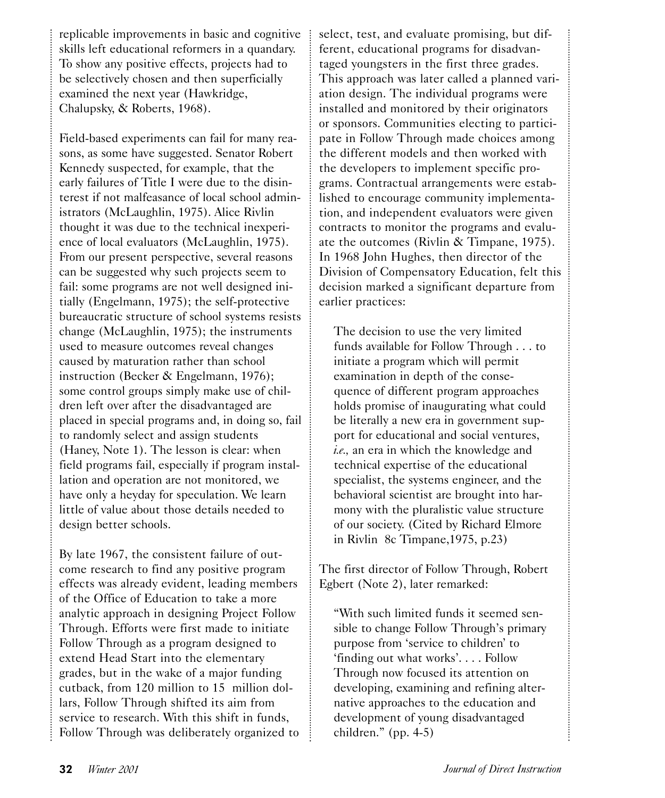replicable improvements in basic and cognitive skills left educational reformers in a quandary. To show any positive effects, projects had to be selectively chosen and then superficially examined the next year (Hawkridge, Chalupsky, & Roberts, 1968).

Field-based experiments can fail for many reasons, as some have suggested. Senator Robert Kennedy suspected, for example, that the early failures of Title I were due to the disinterest if not malfeasance of local school administrators (McLaughlin, 1975). Alice Rivlin thought it was due to the technical inexperience of local evaluators (McLaughlin, 1975). From our present perspective, several reasons can be suggested why such projects seem to fail: some programs are not well designed initially (Engelmann, 1975); the self-protective bureaucratic structure of school systems resists change (McLaughlin, 1975); the instruments used to measure outcomes reveal changes caused by maturation rather than school instruction (Becker & Engelmann, 1976); some control groups simply make use of children left over after the disadvantaged are placed in special programs and, in doing so, fail to randomly select and assign students (Haney, Note 1). The lesson is clear: when field programs fail, especially if program installation and operation are not monitored, we have only a heyday for speculation. We learn little of value about those details needed to design better schools.

By late 1967, the consistent failure of outcome research to find any positive program effects was already evident, leading members of the Office of Education to take a more analytic approach in designing Project Follow Through. Efforts were first made to initiate Follow Through as a program designed to extend Head Start into the elementary grades, but in the wake of a major funding cutback, from 120 million to 15 million dollars, Follow Through shifted its aim from service to research. With this shift in funds, Follow Through was deliberately organized to select, test, and evaluate promising, but different, educational programs for disadvantaged youngsters in the first three grades. This approach was later called a planned variation design. The individual programs were installed and monitored by their originators or sponsors. Communities electing to participate in Follow Through made choices among the different models and then worked with the developers to implement specific programs. Contractual arrangements were established to encourage community implementation, and independent evaluators were given contracts to monitor the programs and evaluate the outcomes (Rivlin & Timpane, 1975). In 1968 John Hughes, then director of the Division of Compensatory Education, felt this decision marked a significant departure from earlier practices:

The decision to use the very limited funds available for Follow Through . . . to initiate a program which will permit examination in depth of the consequence of different program approaches holds promise of inaugurating what could be literally a new era in government support for educational and social ventures, *i.e.,* an era in which the knowledge and technical expertise of the educational specialist, the systems engineer, and the behavioral scientist are brought into harmony with the pluralistic value structure of our society. (Cited by Richard Elmore in Rivlin 8c Timpane,1975, p.23)

The first director of Follow Through, Robert Egbert (Note 2), later remarked:

"With such limited funds it seemed sensible to change Follow Through's primary purpose from 'service to children' to 'finding out what works'. . . . Follow Through now focused its attention on developing, examining and refining alternative approaches to the education and development of young disadvantaged children." (pp. 4-5)

............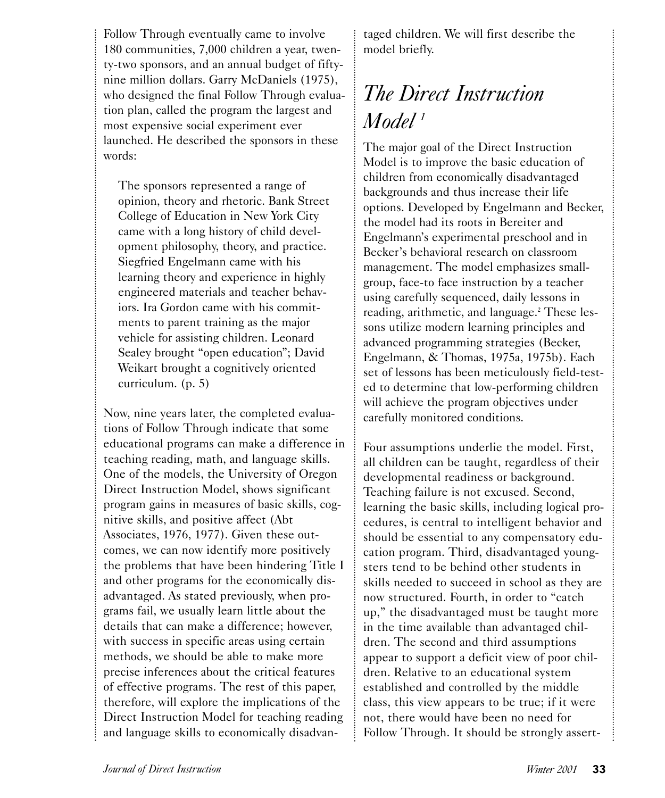Follow Through eventually came to involve 180 communities, 7,000 children a year, twenty-two sponsors, and an annual budget of fiftynine million dollars. Garry McDaniels (1975), who designed the final Follow Through evaluation plan, called the program the largest and most expensive social experiment ever launched. He described the sponsors in these words:

The sponsors represented a range of opinion, theory and rhetoric. Bank Street College of Education in New York City came with a long history of child development philosophy, theory, and practice. Siegfried Engelmann came with his learning theory and experience in highly engineered materials and teacher behaviors. Ira Gordon came with his commitments to parent training as the major vehicle for assisting children. Leonard Sealey brought "open education"; David Weikart brought a cognitively oriented curriculum. (p. 5)

Now, nine years later, the completed evaluations of Follow Through indicate that some educational programs can make a difference in teaching reading, math, and language skills. One of the models, the University of Oregon Direct Instruction Model, shows significant program gains in measures of basic skills, cognitive skills, and positive affect (Abt Associates, 1976, 1977). Given these outcomes, we can now identify more positively the problems that have been hindering Title I and other programs for the economically disadvantaged. As stated previously, when programs fail, we usually learn little about the details that can make a difference; however, with success in specific areas using certain methods, we should be able to make more precise inferences about the critical features of effective programs. The rest of this paper, therefore, will explore the implications of the Direct Instruction Model for teaching reading and language skills to economically disadvantaged children. We will first describe the model briefly.

# *The Direct Instruction Model 1*

The major goal of the Direct Instruction Model is to improve the basic education of children from economically disadvantaged backgrounds and thus increase their life options. Developed by Engelmann and Becker, the model had its roots in Bereiter and Engelmann's experimental preschool and in Becker's behavioral research on classroom management. The model emphasizes smallgroup, face-to face instruction by a teacher using carefully sequenced, daily lessons in reading, arithmetic, and language.<sup>2</sup> These lessons utilize modern learning principles and advanced programming strategies (Becker, Engelmann, & Thomas, 1975a, 1975b). Each set of lessons has been meticulously field-tested to determine that low-performing children will achieve the program objectives under carefully monitored conditions.

Four assumptions underlie the model. First, all children can be taught, regardless of their developmental readiness or background. Teaching failure is not excused. Second, learning the basic skills, including logical procedures, is central to intelligent behavior and should be essential to any compensatory education program. Third, disadvantaged youngsters tend to be behind other students in skills needed to succeed in school as they are now structured. Fourth, in order to "catch up," the disadvantaged must be taught more in the time available than advantaged children. The second and third assumptions appear to support a deficit view of poor children. Relative to an educational system established and controlled by the middle class, this view appears to be true; if it were not, there would have been no need for Follow Through. It should be strongly assert-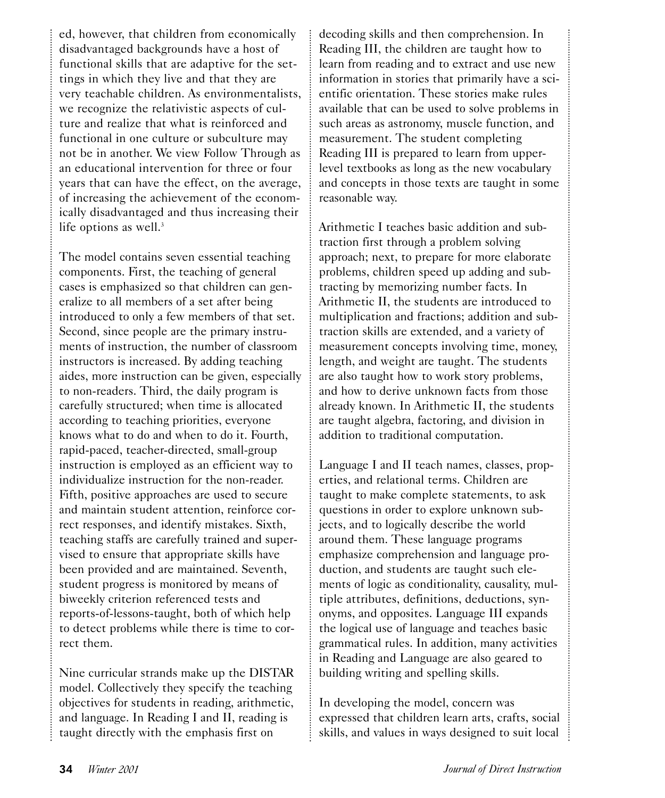ed, however, that children from economically disadvantaged backgrounds have a host of functional skills that are adaptive for the settings in which they live and that they are very teachable children. As environmentalists, we recognize the relativistic aspects of culture and realize that what is reinforced and functional in one culture or subculture may not be in another. We view Follow Through as an educational intervention for three or four years that can have the effect, on the average, of increasing the achievement of the economically disadvantaged and thus increasing their life options as well. $3$ 

The model contains seven essential teaching components. First, the teaching of general cases is emphasized so that children can generalize to all members of a set after being introduced to only a few members of that set. Second, since people are the primary instruments of instruction, the number of classroom instructors is increased. By adding teaching aides, more instruction can be given, especially to non-readers. Third, the daily program is carefully structured; when time is allocated according to teaching priorities, everyone knows what to do and when to do it. Fourth, rapid-paced, teacher-directed, small-group instruction is employed as an efficient way to individualize instruction for the non-reader. Fifth, positive approaches are used to secure and maintain student attention, reinforce correct responses, and identify mistakes. Sixth, teaching staffs are carefully trained and supervised to ensure that appropriate skills have been provided and are maintained. Seventh, student progress is monitored by means of biweekly criterion referenced tests and reports-of-lessons-taught, both of which help to detect problems while there is time to correct them.

Nine curricular strands make up the DISTAR model. Collectively they specify the teaching objectives for students in reading, arithmetic, and language. In Reading I and II, reading is taught directly with the emphasis first on

decoding skills and then comprehension. In Reading III, the children are taught how to learn from reading and to extract and use new information in stories that primarily have a scientific orientation. These stories make rules available that can be used to solve problems in such areas as astronomy, muscle function, and measurement. The student completing Reading III is prepared to learn from upperlevel textbooks as long as the new vocabulary and concepts in those texts are taught in some reasonable way.

Arithmetic I teaches basic addition and subtraction first through a problem solving approach; next, to prepare for more elaborate problems, children speed up adding and subtracting by memorizing number facts. In Arithmetic II, the students are introduced to multiplication and fractions; addition and subtraction skills are extended, and a variety of measurement concepts involving time, money, length, and weight are taught. The students are also taught how to work story problems, and how to derive unknown facts from those already known. In Arithmetic II, the students are taught algebra, factoring, and division in addition to traditional computation.

Language I and II teach names, classes, properties, and relational terms. Children are taught to make complete statements, to ask questions in order to explore unknown subjects, and to logically describe the world around them. These language programs emphasize comprehension and language production, and students are taught such elements of logic as conditionality, causality, multiple attributes, definitions, deductions, synonyms, and opposites. Language III expands the logical use of language and teaches basic grammatical rules. In addition, many activities in Reading and Language are also geared to building writing and spelling skills.

In developing the model, concern was expressed that children learn arts, crafts, social skills, and values in ways designed to suit local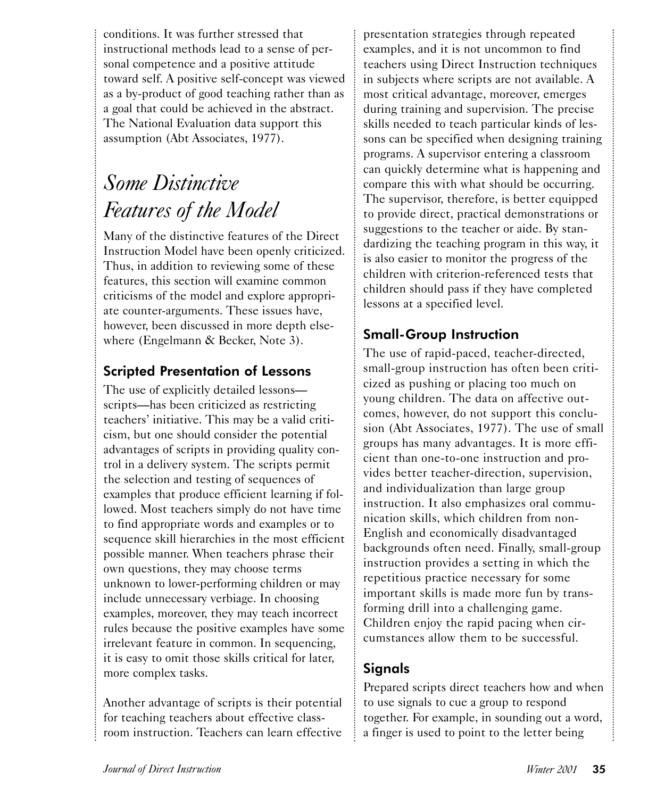conditions. It was further stressed that instructional methods lead to a sense of personal competence and a positive attitude toward self. A positive self-concept was viewed as a by-product of good teaching rather than as a goal that could be achieved in the abstract. The National Evaluation data support this assumption (Abt Associates, 1977).

# *Some Distinctive Features of the Model*

Many of the distinctive features of the Direct Instruction Model have been openly criticized. Thus, in addition to reviewing some of these features, this section will examine common criticisms of the model and explore appropriate counter-arguments. These issues have, however, been discussed in more depth elsewhere (Engelmann & Becker, Note 3).

### Scripted Presentation of Lessons

The use of explicitly detailed lessons scripts—has been criticized as restricting teachers' initiative. This may be a valid criticism, but one should consider the potential advantages of scripts in providing quality control in a delivery system. The scripts permit the selection and testing of sequences of examples that produce efficient learning if followed. Most teachers simply do not have time to find appropriate words and examples or to sequence skill hierarchies in the most efficient possible manner. When teachers phrase their own questions, they may choose terms unknown to lower-performing children or may include unnecessary verbiage. In choosing examples, moreover, they may teach incorrect rules because the positive examples have some irrelevant feature in common. In sequencing, it is easy to omit those skills critical for later, more complex tasks.

Another advantage of scripts is their potential for teaching teachers about effective classroom instruction. Teachers can learn effective

presentation strategies through repeated examples, and it is not uncommon to find teachers using Direct Instruction techniques in subjects where scripts are not available. A most critical advantage, moreover, emerges during training and supervision. The precise skills needed to teach particular kinds of lessons can be specified when designing training programs. A supervisor entering a classroom can quickly determine what is happening and compare this with what should be occurring. The supervisor, therefore, is better equipped to provide direct, practical demonstrations or suggestions to the teacher or aide. By standardizing the teaching program in this way, it is also easier to monitor the progress of the children with criterion-referenced tests that children should pass if they have completed lessons at a specified level.

## Small-Group Instruction

The use of rapid-paced, teacher-directed, small-group instruction has often been criticized as pushing or placing too much on young children. The data on affective outcomes, however, do not support this conclusion (Abt Associates, 1977). The use of small groups has many advantages. It is more efficient than one-to-one instruction and provides better teacher-direction, supervision, and individualization than large group instruction. It also emphasizes oral communication skills, which children from non-English and economically disadvantaged backgrounds often need. Finally, small-group instruction provides a setting in which the repetitious practice necessary for some important skills is made more fun by transforming drill into a challenging game. Children enjoy the rapid pacing when circumstances allow them to be successful.

## Signals

Prepared scripts direct teachers how and when to use signals to cue a group to respond together. For example, in sounding out a word, a finger is used to point to the letter being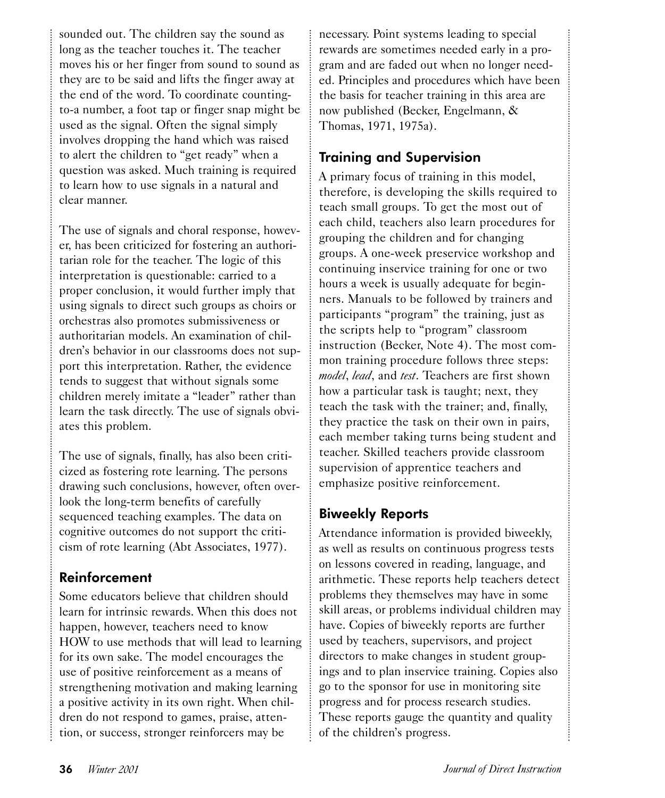sounded out. The children say the sound as long as the teacher touches it. The teacher moves his or her finger from sound to sound as they are to be said and lifts the finger away at the end of the word. To coordinate countingto-a number, a foot tap or finger snap might be used as the signal. Often the signal simply involves dropping the hand which was raised to alert the children to "get ready" when a question was asked. Much training is required to learn how to use signals in a natural and clear manner.

The use of signals and choral response, however, has been criticized for fostering an authoritarian role for the teacher. The logic of this interpretation is questionable: carried to a proper conclusion, it would further imply that using signals to direct such groups as choirs or orchestras also promotes submissiveness or authoritarian models. An examination of children's behavior in our classrooms does not support this interpretation. Rather, the evidence tends to suggest that without signals some children merely imitate a "leader" rather than learn the task directly. The use of signals obviates this problem.

The use of signals, finally, has also been criticized as fostering rote learning. The persons drawing such conclusions, however, often overlook the long-term benefits of carefully sequenced teaching examples. The data on cognitive outcomes do not support thc criticism of rote learning (Abt Associates, 1977).

#### Reinforcement

Some educators believe that children should learn for intrinsic rewards. When this does not happen, however, teachers need to know HOW to use methods that will lead to learning for its own sake. The model encourages the use of positive reinforcement as a means of strengthening motivation and making learning a positive activity in its own right. When children do not respond to games, praise, attention, or success, stronger reinforcers may be

necessary. Point systems leading to special rewards are sometimes needed early in a program and are faded out when no longer needed. Principles and procedures which have been the basis for teacher training in this area are now published (Becker, Engelmann, & Thomas, 1971, 1975a).

### Training and Supervision

A primary focus of training in this model, therefore, is developing the skills required to teach small groups. To get the most out of each child, teachers also learn procedures for grouping the children and for changing groups. A one-week preservice workshop and continuing inservice training for one or two hours a week is usually adequate for beginners. Manuals to be followed by trainers and participants "program" the training, just as the scripts help to "program" classroom instruction (Becker, Note 4). The most common training procedure follows three steps: *model*, *lead*, and *test*. Teachers are first shown how a particular task is taught; next, they teach the task with the trainer; and, finally, they practice the task on their own in pairs, each member taking turns being student and teacher. Skilled teachers provide classroom supervision of apprentice teachers and emphasize positive reinforcement.

#### Biweekly Reports

Attendance information is provided biweekly, as well as results on continuous progress tests on lessons covered in reading, language, and arithmetic. These reports help teachers detect problems they themselves may have in some skill areas, or problems individual children may have. Copies of biweekly reports are further used by teachers, supervisors, and project directors to make changes in student groupings and to plan inservice training. Copies also go to the sponsor for use in monitoring site progress and for process research studies. These reports gauge the quantity and quality of the children's progress.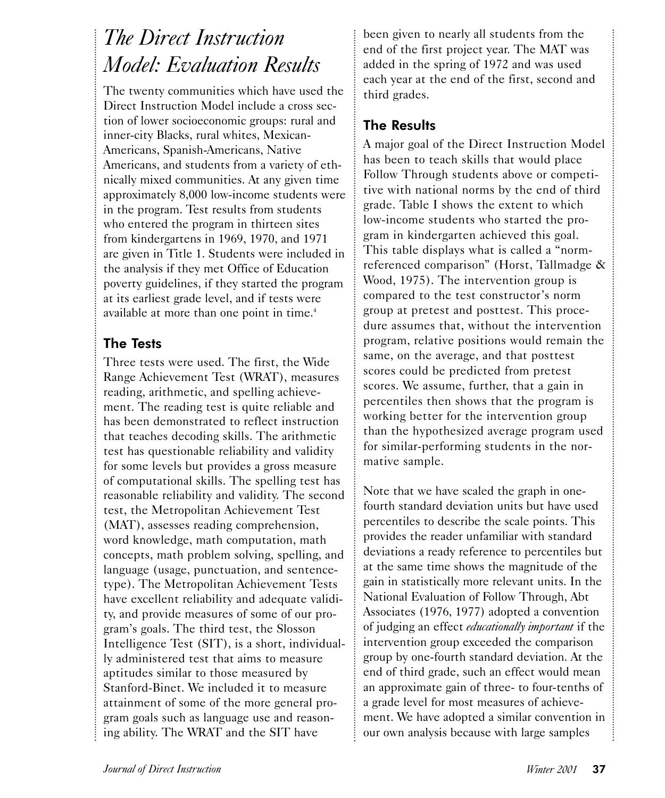# *The Direct Instruction Model: Evaluation Results*

The twenty communities which have used the Direct Instruction Model include a cross section of lower socioeconomic groups: rural and inner-city Blacks, rural whites, Mexican-Americans, Spanish-Americans, Native Americans, and students from a variety of ethnically mixed communities. At any given time approximately 8,000 low-income students were in the program. Test results from students who entered the program in thirteen sites from kindergartens in 1969, 1970, and 1971 are given in Title 1. Students were included in the analysis if they met Office of Education poverty guidelines, if they started the program at its earliest grade level, and if tests were available at more than one point in time.<sup>4</sup>

## The Tests

Three tests were used. The first, the Wide Range Achievement Test (WRAT), measures reading, arithmetic, and spelling achievement. The reading test is quite reliable and has been demonstrated to reflect instruction that teaches decoding skills. The arithmetic test has questionable reliability and validity for some levels but provides a gross measure of computational skills. The spelling test has reasonable reliability and validity. The second test, the Metropolitan Achievement Test (MAT), assesses reading comprehension, word knowledge, math computation, math concepts, math problem solving, spelling, and language (usage, punctuation, and sentencetype). The Metropolitan Achievement Tests have excellent reliability and adequate validity, and provide measures of some of our program's goals. The third test, the Slosson Intelligence Test (SIT), is a short, individually administered test that aims to measure aptitudes similar to those measured by Stanford-Binet. We included it to measure attainment of some of the more general program goals such as language use and reasoning ability. The WRAT and the SIT have

been given to nearly all students from the end of the first project year. The MAT was added in the spring of 1972 and was used each year at the end of the first, second and third grades.

### The Results

A major goal of the Direct Instruction Model has been to teach skills that would place Follow Through students above or competitive with national norms by the end of third grade. Table I shows the extent to which low-income students who started the program in kindergarten achieved this goal. This table displays what is called a "normreferenced comparison" (Horst, Tallmadge & Wood, 1975). The intervention group is compared to the test constructor's norm group at pretest and posttest. This procedure assumes that, without the intervention program, relative positions would remain the same, on the average, and that posttest scores could be predicted from pretest scores. We assume, further, that a gain in percentiles then shows that the program is working better for the intervention group than the hypothesized average program used for similar-performing students in the normative sample.

Note that we have scaled the graph in onefourth standard deviation units but have used percentiles to describe the scale points. This provides the reader unfamiliar with standard deviations a ready reference to percentiles but at the same time shows the magnitude of the gain in statistically more relevant units. In the National Evaluation of Follow Through, Abt Associates (1976, 1977) adopted a convention of judging an effect *educationally important* if the intervention group exceeded the comparison group by one-fourth standard deviation. At the end of third grade, such an effect would mean an approximate gain of three- to four-tenths of a grade level for most measures of achievement. We have adopted a similar convention in our own analysis because with large samples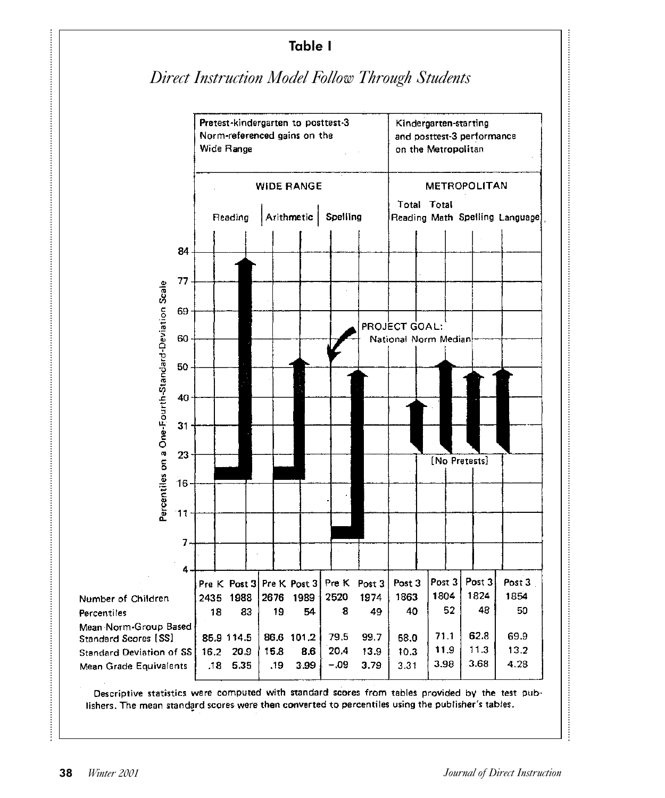

Descriptive statistics were computed with standard scores from tables provided by the test publishers. The mean standard scores were then converted to percentiles using the publisher's tables.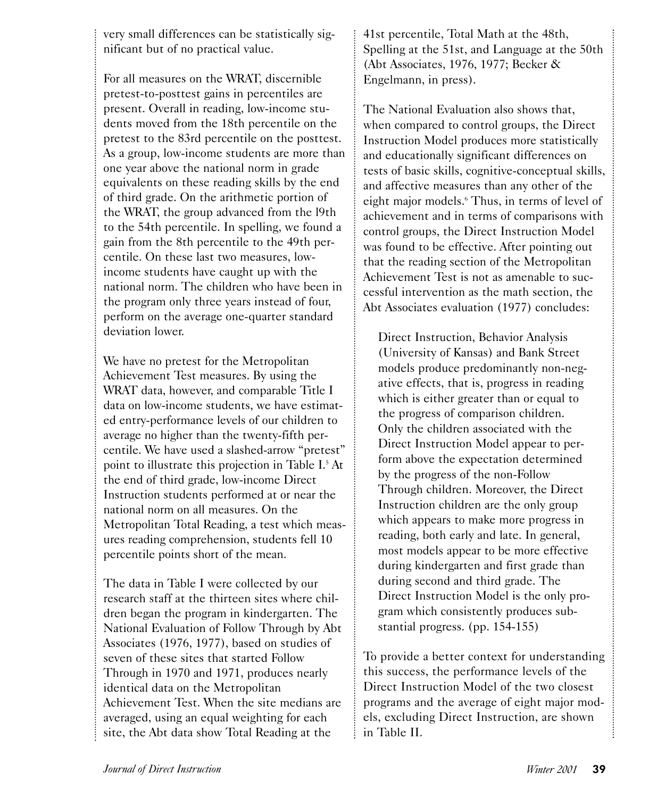very small differences can be statistically significant but of no practical value.

For all measures on the WRAT, discernible pretest-to-posttest gains in percentiles are present. Overall in reading, low-income students moved from the 18th percentile on the pretest to the 83rd percentile on the posttest. As a group, low-income students are more than one year above the national norm in grade equivalents on these reading skills by the end of third grade. On the arithmetic portion of the WRAT, the group advanced from the l9th to the 54th percentile. In spelling, we found a gain from the 8th percentile to the 49th percentile. On these last two measures, lowincome students have caught up with the national norm. The children who have been in the program only three years instead of four, perform on the average one-quarter standard deviation lower.

We have no pretest for the Metropolitan Achievement Test measures. By using the WRAT data, however, and comparable Title I data on low-income students, we have estimated entry-performance levels of our children to average no higher than the twenty-fifth percentile. We have used a slashed-arrow "pretest" point to illustrate this projection in Table I.5 At the end of third grade, low-income Direct Instruction students performed at or near the national norm on all measures. On the Metropolitan Total Reading, a test which measures reading comprehension, students fell 10 percentile points short of the mean.

The data in Table I were collected by our research staff at the thirteen sites where children began the program in kindergarten. The National Evaluation of Follow Through by Abt Associates (1976, 1977), based on studies of seven of these sites that started Follow Through in 1970 and 1971, produces nearly identical data on the Metropolitan Achievement Test. When the site medians are averaged, using an equal weighting for each site, the Abt data show Total Reading at the

41st percentile, Total Math at the 48th, Spelling at the 51st, and Language at the 50th (Abt Associates, 1976, 1977; Becker & Engelmann, in press).

The National Evaluation also shows that, when compared to control groups, the Direct Instruction Model produces more statistically and educationally significant differences on tests of basic skills, cognitive-conceptual skills, and affective measures than any other of the eight major models.6 Thus, in terms of level of achievement and in terms of comparisons with control groups, the Direct Instruction Model was found to be effective. After pointing out that the reading section of the Metropolitan Achievement Test is not as amenable to successful intervention as the math section, the Abt Associates evaluation (1977) concludes:

Direct Instruction, Behavior Analysis (University of Kansas) and Bank Street models produce predominantly non-negative effects, that is, progress in reading which is either greater than or equal to the progress of comparison children. Only the children associated with the Direct Instruction Model appear to perform above the expectation determined by the progress of the non-Follow Through children. Moreover, the Direct Instruction children are the only group which appears to make more progress in reading, both early and late. In general, most models appear to be more effective during kindergarten and first grade than during second and third grade. The Direct Instruction Model is the only program which consistently produces substantial progress. (pp. 154-155)

To provide a better context for understanding this success, the performance levels of the Direct Instruction Model of the two closest programs and the average of eight major models, excluding Direct Instruction, are shown in Table II.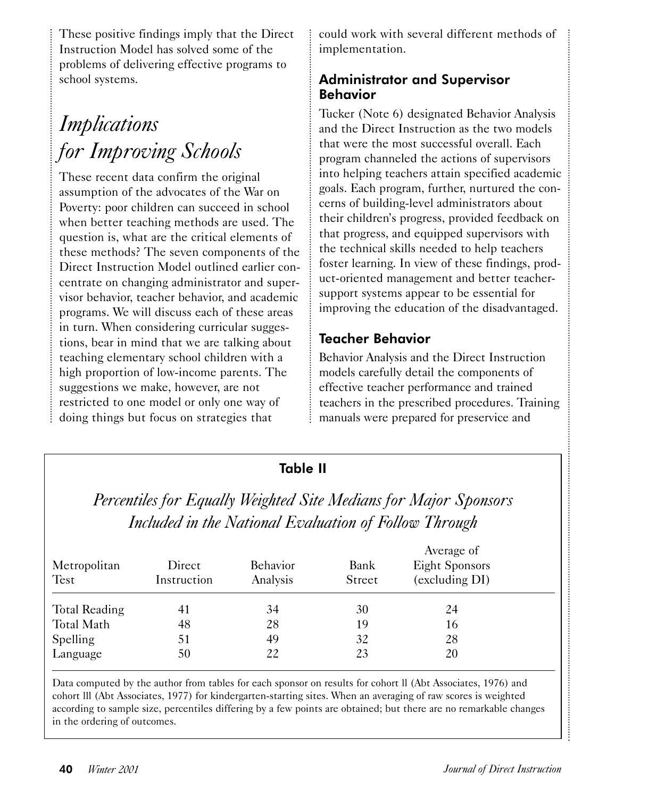These positive findings imply that the Direct Instruction Model has solved some of the problems of delivering effective programs to school systems.

# *Implications for Improving Schools*

These recent data confirm the original assumption of the advocates of the War on Poverty: poor children can succeed in school when better teaching methods are used. The question is, what are the critical elements of these methods? The seven components of the Direct Instruction Model outlined earlier concentrate on changing administrator and supervisor behavior, teacher behavior, and academic programs. We will discuss each of these areas in turn. When considering curricular suggestions, bear in mind that we are talking about teaching elementary school children with a high proportion of low-income parents. The suggestions we make, however, are not restricted to one model or only one way of doing things but focus on strategies that

could work with several different methods of implementation.

#### Administrator and Supervisor Behavior

Tucker (Note 6) designated Behavior Analysis and the Direct Instruction as the two models that were the most successful overall. Each program channeled the actions of supervisors into helping teachers attain specified academic goals. Each program, further, nurtured the concerns of building-level administrators about their children's progress, provided feedback on that progress, and equipped supervisors with the technical skills needed to help teachers foster learning. In view of these findings, product-oriented management and better teachersupport systems appear to be essential for improving the education of the disadvantaged.

### Teacher Behavior

Behavior Analysis and the Direct Instruction models carefully detail the components of effective teacher performance and trained teachers in the prescribed procedures. Training manuals were prepared for preservice and

|                             |                                                                                                                           | Table II                    |                       |                                                |  |  |  |  |
|-----------------------------|---------------------------------------------------------------------------------------------------------------------------|-----------------------------|-----------------------|------------------------------------------------|--|--|--|--|
|                             | Percentiles for Equally Weighted Site Medians for Major Sponsors<br>Included in the National Evaluation of Follow Through |                             |                       |                                                |  |  |  |  |
| Metropolitan<br><b>Test</b> | Direct<br>Instruction                                                                                                     | <b>Behavior</b><br>Analysis | Bank<br><b>Street</b> | Average of<br>Eight Sponsors<br>(excluding DI) |  |  |  |  |
| Total Reading               | 41                                                                                                                        | 34                          | 30                    | 24                                             |  |  |  |  |
| <b>Total Math</b>           | 48                                                                                                                        | 28                          | 19                    | 16                                             |  |  |  |  |
| Spelling                    | 51                                                                                                                        | 49                          | 32                    | 28                                             |  |  |  |  |
| Language                    | 50                                                                                                                        | 22                          | 23                    | 20                                             |  |  |  |  |

Data computed by the author from tables for each sponsor on results for cohort ll (Abt Associates, 1976) and cohort lll (Abt Associates, 1977) for kindergarten-starting sites. When an averaging of raw scores is weighted according to sample size, percentiles differing by a few points are obtained; but there are no remarkable changes in the ordering of outcomes.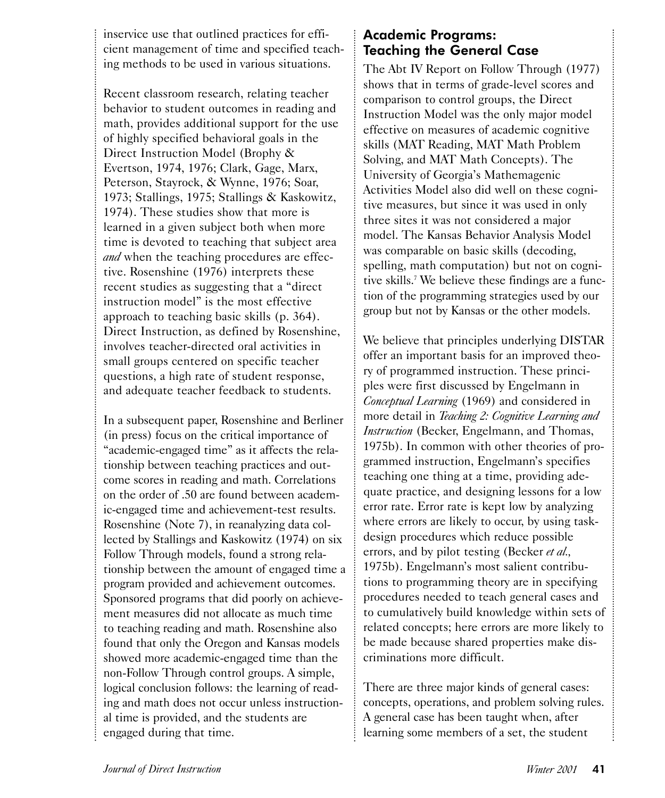inservice use that outlined practices for efficient management of time and specified teaching methods to be used in various situations.

Recent classroom research, relating teacher behavior to student outcomes in reading and math, provides additional support for the use of highly specified behavioral goals in the Direct Instruction Model (Brophy & Evertson, 1974, 1976; Clark, Gage, Marx, Peterson, Stayrock, & Wynne, 1976; Soar, 1973; Stallings, 1975; Stallings & Kaskowitz, 1974). These studies show that more is learned in a given subject both when more time is devoted to teaching that subject area *and* when the teaching procedures are effective. Rosenshine (1976) interprets these recent studies as suggesting that a "direct instruction model" is the most effective approach to teaching basic skills (p. 364). Direct Instruction, as defined by Rosenshine, involves teacher-directed oral activities in small groups centered on specific teacher questions, a high rate of student response, and adequate teacher feedback to students.

In a subsequent paper, Rosenshine and Berliner (in press) focus on the critical importance of "academic-engaged time" as it affects the relationship between teaching practices and outcome scores in reading and math. Correlations on the order of .50 are found between academic-engaged time and achievement-test results. Rosenshine (Note 7), in reanalyzing data collected by Stallings and Kaskowitz (1974) on six Follow Through models, found a strong relationship between the amount of engaged time a program provided and achievement outcomes. Sponsored programs that did poorly on achievement measures did not allocate as much time to teaching reading and math. Rosenshine also found that only the Oregon and Kansas models showed more academic-engaged time than the non-Follow Through control groups. A simple, logical conclusion follows: the learning of reading and math does not occur unless instructional time is provided, and the students are engaged during that time.

#### Academic Programs: Teaching the General Case

The Abt IV Report on Follow Through (1977) shows that in terms of grade-level scores and comparison to control groups, the Direct Instruction Model was the only major model effective on measures of academic cognitive skills (MAT Reading, MAT Math Problem Solving, and MAT Math Concepts). The University of Georgia's Mathemagenic Activities Model also did well on these cognitive measures, but since it was used in only three sites it was not considered a major model. The Kansas Behavior Analysis Model was comparable on basic skills (decoding, spelling, math computation) but not on cognitive skills.7 We believe these findings are a function of the programming strategies used by our group but not by Kansas or the other models.

We believe that principles underlying DISTAR offer an important basis for an improved theory of programmed instruction. These principles were first discussed by Engelmann in *Conceptual Learning* (1969) and considered in more detail in *Teaching 2: Cognitive Learning and Instruction* (Becker, Engelmann, and Thomas, 1975b). In common with other theories of programmed instruction, Engelmann's specifies teaching one thing at a time, providing adequate practice, and designing lessons for a low error rate. Error rate is kept low by analyzing where errors are likely to occur, by using taskdesign procedures which reduce possible errors, and by pilot testing (Becker *et al.,* 1975b). Engelmann's most salient contributions to programming theory are in specifying procedures needed to teach general cases and to cumulatively build knowledge within sets of related concepts; here errors are more likely to be made because shared properties make discriminations more difficult.

There are three major kinds of general cases: concepts, operations, and problem solving rules. A general case has been taught when, after learning some members of a set, the student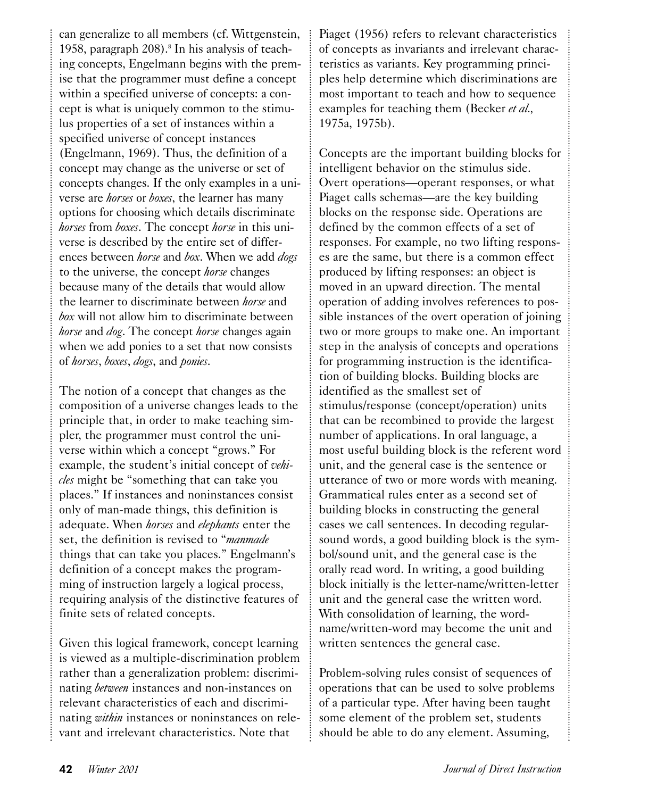can generalize to all members (cf. Wittgenstein, 1958, paragraph 208).<sup>8</sup> In his analysis of teaching concepts, Engelmann begins with the premise that the programmer must define a concept within a specified universe of concepts: a concept is what is uniquely common to the stimulus properties of a set of instances within a specified universe of concept instances (Engelmann, 1969). Thus, the definition of a concept may change as the universe or set of concepts changes. If the only examples in a universe are *horses* or *boxes*, the learner has many options for choosing which details discriminate *horses* from *boxes*. The concept *horse* in this universe is described by the entire set of differences between *horse* and *box*. When we add *dogs* to the universe, the concept *horse* changes because many of the details that would allow the learner to discriminate between *horse* and *box* will not allow him to discriminate between *horse* and *dog*. The concept *horse* changes again when we add ponies to a set that now consists of *horses*, *boxes*, *dogs*, and *ponies*.

The notion of a concept that changes as the composition of a universe changes leads to the principle that, in order to make teaching simpler, the programmer must control the universe within which a concept "grows." For example, the student's initial concept of *vehicles* might be "something that can take you places." If instances and noninstances consist only of man-made things, this definition is adequate. When *horses* and *elephants* enter the set, the definition is revised to "*manmade* things that can take you places." Engelmann's definition of a concept makes the programming of instruction largely a logical process, requiring analysis of the distinctive features of finite sets of related concepts.

Given this logical framework, concept learning is viewed as a multiple-discrimination problem rather than a generalization problem: discriminating *between* instances and non-instances on relevant characteristics of each and discriminating *within* instances or noninstances on relevant and irrelevant characteristics. Note that

Piaget (1956) refers to relevant characteristics of concepts as invariants and irrelevant characteristics as variants. Key programming principles help determine which discriminations are most important to teach and how to sequence examples for teaching them (Becker *et al.,* 1975a, 1975b).

Concepts are the important building blocks for intelligent behavior on the stimulus side. Overt operations—operant responses, or what Piaget calls schemas—are the key building blocks on the response side. Operations are defined by the common effects of a set of responses. For example, no two lifting responses are the same, but there is a common effect produced by lifting responses: an object is moved in an upward direction. The mental operation of adding involves references to possible instances of the overt operation of joining two or more groups to make one. An important step in the analysis of concepts and operations for programming instruction is the identification of building blocks. Building blocks are identified as the smallest set of stimulus/response (concept/operation) units that can be recombined to provide the largest number of applications. In oral language, a most useful building block is the referent word unit, and the general case is the sentence or utterance of two or more words with meaning. Grammatical rules enter as a second set of building blocks in constructing the general cases we call sentences. In decoding regularsound words, a good building block is the symbol/sound unit, and the general case is the orally read word. In writing, a good building block initially is the letter-name/written-letter unit and the general case the written word. With consolidation of learning, the wordname/written-word may become the unit and written sentences the general case.

Problem-solving rules consist of sequences of operations that can be used to solve problems of a particular type. After having been taught some element of the problem set, students should be able to do any element. Assuming,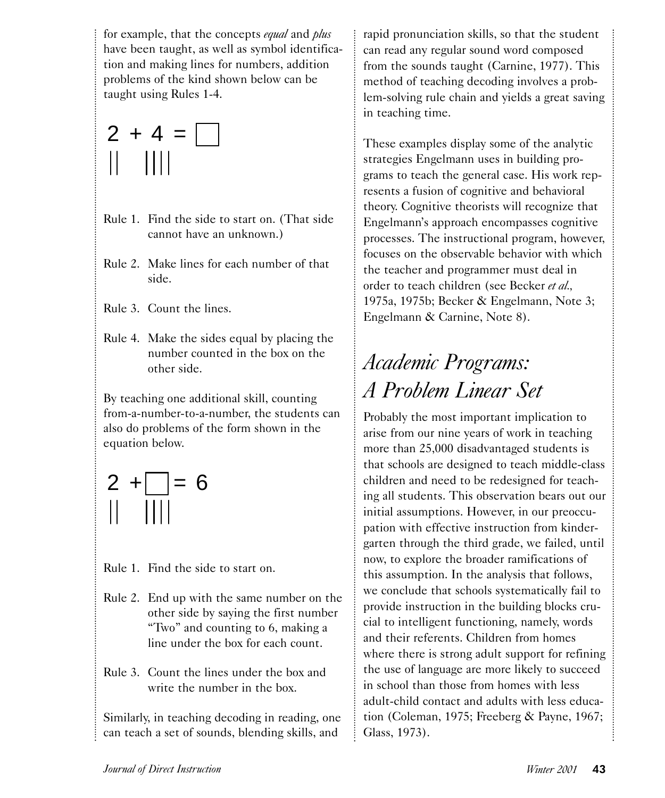for example, that the concepts *equal* and *plus* have been taught, as well as symbol identification and making lines for numbers, addition problems of the kind shown below can be taught using Rules 1-4.



- Rule 1. Find the side to start on. (That side cannot have an unknown.)
- Rule 2. Make lines for each number of that side.

Rule 3. Count the lines.

Rule 4. Make the sides equal by placing the number counted in the box on the other side.

By teaching one additional skill, counting from-a-number-to-a-number, the students can also do problems of the form shown in the equation below.



Rule 1. Find the side to start on.

- Rule 2. End up with the same number on the other side by saying the first number "Two" and counting to 6, making a line under the box for each count.
- Rule 3. Count the lines under the box and write the number in the box.

Similarly, in teaching decoding in reading, one can teach a set of sounds, blending skills, and

rapid pronunciation skills, so that the student can read any regular sound word composed from the sounds taught (Carnine, 1977). This method of teaching decoding involves a problem-solving rule chain and yields a great saving in teaching time.

These examples display some of the analytic strategies Engelmann uses in building programs to teach the general case. His work represents a fusion of cognitive and behavioral theory. Cognitive theorists will recognize that Engelmann's approach encompasses cognitive processes. The instructional program, however, focuses on the observable behavior with which the teacher and programmer must deal in order to teach children (see Becker *et al.,* 1975a, 1975b; Becker & Engelmann, Note 3; Engelmann & Carnine, Note 8).

# *Academic Programs: A Problem Linear Set*

Probably the most important implication to arise from our nine years of work in teaching more than 25,000 disadvantaged students is that schools are designed to teach middle-class children and need to be redesigned for teaching all students. This observation bears out our initial assumptions. However, in our preoccupation with effective instruction from kindergarten through the third grade, we failed, until now, to explore the broader ramifications of this assumption. In the analysis that follows, we conclude that schools systematically fail to provide instruction in the building blocks crucial to intelligent functioning, namely, words and their referents. Children from homes where there is strong adult support for refining the use of language are more likely to succeed in school than those from homes with less adult-child contact and adults with less education (Coleman, 1975; Freeberg & Payne, 1967; Glass, 1973).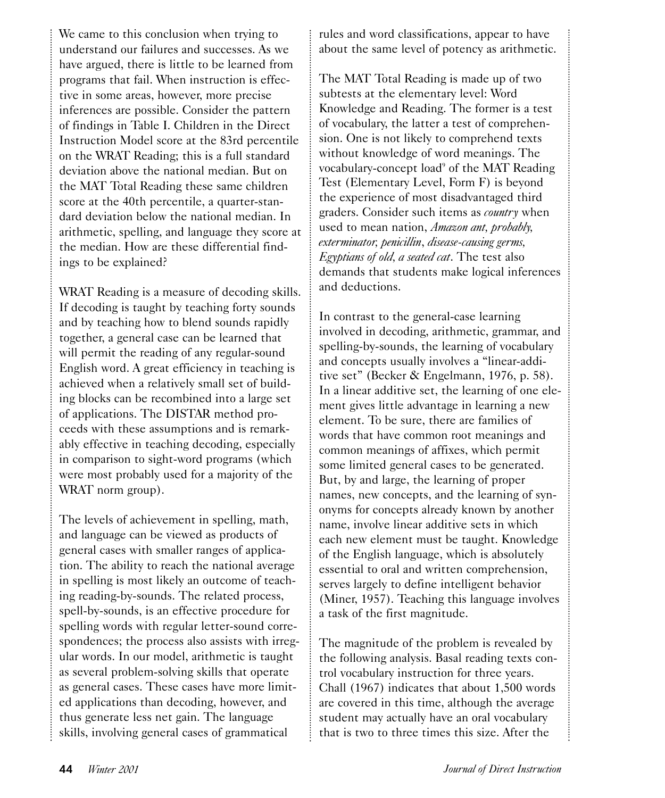We came to this conclusion when trying to understand our failures and successes. As we have argued, there is little to be learned from programs that fail. When instruction is effective in some areas, however, more precise inferences are possible. Consider the pattern of findings in Table I. Children in the Direct Instruction Model score at the 83rd percentile on the WRAT Reading; this is a full standard deviation above the national median. But on the MAT Total Reading these same children score at the 40th percentile, a quarter-standard deviation below the national median. In arithmetic, spelling, and language they score at the median. How are these differential findings to be explained?

WRAT Reading is a measure of decoding skills. If decoding is taught by teaching forty sounds and by teaching how to blend sounds rapidly together, a general case can be learned that will permit the reading of any regular-sound English word. A great efficiency in teaching is achieved when a relatively small set of building blocks can be recombined into a large set of applications. The DISTAR method proceeds with these assumptions and is remarkably effective in teaching decoding, especially in comparison to sight-word programs (which were most probably used for a majority of the WRAT norm group).

The levels of achievement in spelling, math, and language can be viewed as products of general cases with smaller ranges of application. The ability to reach the national average in spelling is most likely an outcome of teaching reading-by-sounds. The related process, spell-by-sounds, is an effective procedure for spelling words with regular letter-sound correspondences; the process also assists with irregular words. In our model, arithmetic is taught as several problem-solving skills that operate as general cases. These cases have more limited applications than decoding, however, and thus generate less net gain. The language skills, involving general cases of grammatical

rules and word classifications, appear to have about the same level of potency as arithmetic.

The MAT Total Reading is made up of two subtests at the elementary level: Word Knowledge and Reading. The former is a test of vocabulary, the latter a test of comprehension. One is not likely to comprehend texts without knowledge of word meanings. The vocabulary-concept load<sup>9</sup> of the MAT Reading Test (Elementary Level, Form F) is beyond the experience of most disadvantaged third graders. Consider such items as *country* when used to mean nation, *Amazon ant, probably, exterminator, penicillin*, *disease-causing germs, Egyptians of old, a seated cat*. The test also demands that students make logical inferences and deductions.

In contrast to the general-case learning involved in decoding, arithmetic, grammar, and spelling-by-sounds, the learning of vocabulary and concepts usually involves a "linear-additive set" (Becker & Engelmann, 1976, p. 58). In a linear additive set, the learning of one element gives little advantage in learning a new element. To be sure, there are families of words that have common root meanings and common meanings of affixes, which permit some limited general cases to be generated. But, by and large, the learning of proper names, new concepts, and the learning of synonyms for concepts already known by another name, involve linear additive sets in which each new element must be taught. Knowledge of the English language, which is absolutely essential to oral and written comprehension, serves largely to define intelligent behavior (Miner, 1957). Teaching this language involves a task of the first magnitude.

The magnitude of the problem is revealed by the following analysis. Basal reading texts control vocabulary instruction for three years. Chall (1967) indicates that about 1,500 words are covered in this time, although the average student may actually have an oral vocabulary that is two to three times this size. After the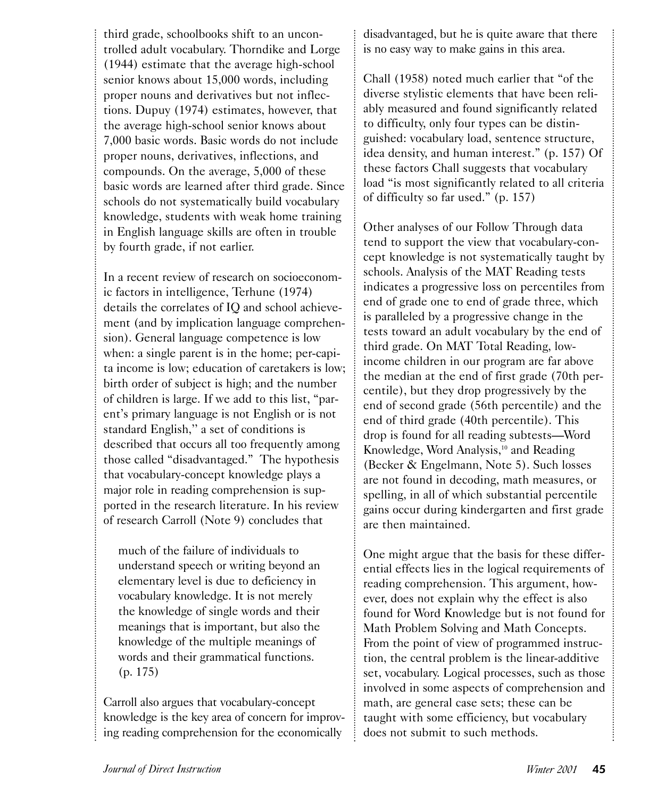third grade, schoolbooks shift to an uncontrolled adult vocabulary. Thorndike and Lorge (1944) estimate that the average high-school senior knows about 15,000 words, including proper nouns and derivatives but not inflections. Dupuy (1974) estimates, however, that the average high-school senior knows about 7,000 basic words. Basic words do not include proper nouns, derivatives, inflections, and compounds. On the average, 5,000 of these basic words are learned after third grade. Since schools do not systematically build vocabulary knowledge, students with weak home training in English language skills are often in trouble by fourth grade, if not earlier.

In a recent review of research on socioeconomic factors in intelligence, Terhune (1974) details the correlates of IQ and school achievement (and by implication language comprehension). General language competence is low when: a single parent is in the home; per-capita income is low; education of caretakers is low; birth order of subject is high; and the number of children is large. If we add to this list, "parent's primary language is not English or is not standard English,'' a set of conditions is described that occurs all too frequently among those called "disadvantaged." The hypothesis that vocabulary-concept knowledge plays a major role in reading comprehension is supported in the research literature. In his review of research Carroll (Note 9) concludes that

much of the failure of individuals to understand speech or writing beyond an elementary level is due to deficiency in vocabulary knowledge. It is not merely the knowledge of single words and their meanings that is important, but also the knowledge of the multiple meanings of words and their grammatical functions. (p. 175)

Carroll also argues that vocabulary-concept knowledge is the key area of concern for improving reading comprehension for the economically

disadvantaged, but he is quite aware that there is no easy way to make gains in this area.

Chall (1958) noted much earlier that "of the diverse stylistic elements that have been reliably measured and found significantly related to difficulty, only four types can be distinguished: vocabulary load, sentence structure, idea density, and human interest." (p. 157) Of these factors Chall suggests that vocabulary load "is most significantly related to all criteria of difficulty so far used." (p. 157)

Other analyses of our Follow Through data tend to support the view that vocabulary-concept knowledge is not systematically taught by schools. Analysis of the MAT Reading tests indicates a progressive loss on percentiles from end of grade one to end of grade three, which is paralleled by a progressive change in the tests toward an adult vocabulary by the end of third grade. On MAT Total Reading, lowincome children in our program are far above the median at the end of first grade (70th percentile), but they drop progressively by the end of second grade (56th percentile) and the end of third grade (40th percentile). This drop is found for all reading subtests—Word Knowledge, Word Analysis,<sup>10</sup> and Reading (Becker & Engelmann, Note 5). Such losses are not found in decoding, math measures, or spelling, in all of which substantial percentile gains occur during kindergarten and first grade are then maintained.

One might argue that the basis for these differential effects lies in the logical requirements of reading comprehension. This argument, however, does not explain why the effect is also found for Word Knowledge but is not found for Math Problem Solving and Math Concepts. From the point of view of programmed instruction, the central problem is the linear-additive set, vocabulary. Logical processes, such as those involved in some aspects of comprehension and math, are general case sets; these can be taught with some efficiency, but vocabulary does not submit to such methods.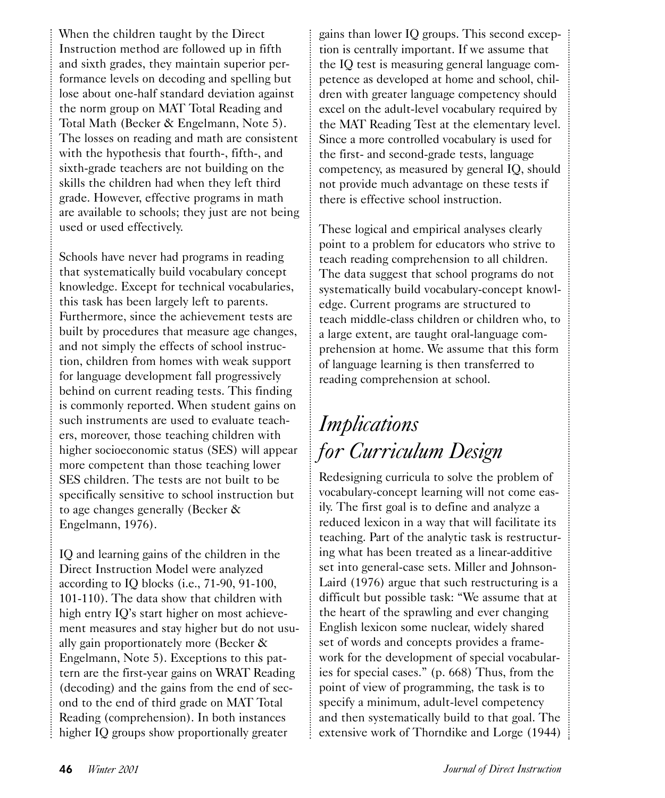When the children taught by the Direct Instruction method are followed up in fifth and sixth grades, they maintain superior performance levels on decoding and spelling but lose about one-half standard deviation against the norm group on MAT Total Reading and Total Math (Becker & Engelmann, Note 5). The losses on reading and math are consistent with the hypothesis that fourth-, fifth-, and sixth-grade teachers are not building on the skills the children had when they left third grade. However, effective programs in math are available to schools; they just are not being used or used effectively.

Schools have never had programs in reading that systematically build vocabulary concept knowledge. Except for technical vocabularies, this task has been largely left to parents. Furthermore, since the achievement tests are built by procedures that measure age changes, and not simply the effects of school instruction, children from homes with weak support for language development fall progressively behind on current reading tests. This finding is commonly reported. When student gains on such instruments are used to evaluate teachers, moreover, those teaching children with higher socioeconomic status (SES) will appear more competent than those teaching lower SES children. The tests are not built to be specifically sensitive to school instruction but to age changes generally (Becker & Engelmann, 1976).

IQ and learning gains of the children in the Direct Instruction Model were analyzed according to IQ blocks (i.e., 71-90, 91-100, 101-110). The data show that children with high entry IQ's start higher on most achievement measures and stay higher but do not usually gain proportionately more (Becker & Engelmann, Note 5). Exceptions to this pattern are the first-year gains on WRAT Reading (decoding) and the gains from the end of second to the end of third grade on MAT Total Reading (comprehension). In both instances higher IQ groups show proportionally greater

gains than lower IQ groups. This second exception is centrally important. If we assume that the IQ test is measuring general language competence as developed at home and school, children with greater language competency should excel on the adult-level vocabulary required by the MAT Reading Test at the elementary level. Since a more controlled vocabulary is used for the first- and second-grade tests, language competency, as measured by general IQ, should not provide much advantage on these tests if there is effective school instruction.

These logical and empirical analyses clearly point to a problem for educators who strive to teach reading comprehension to all children. The data suggest that school programs do not systematically build vocabulary-concept knowledge. Current programs are structured to teach middle-class children or children who, to a large extent, are taught oral-language comprehension at home. We assume that this form of language learning is then transferred to reading comprehension at school.

# *Implications for Curriculum Design*

Redesigning curricula to solve the problem of vocabulary-concept learning will not come easily. The first goal is to define and analyze a reduced lexicon in a way that will facilitate its teaching. Part of the analytic task is restructuring what has been treated as a linear-additive set into general-case sets. Miller and Johnson-Laird (1976) argue that such restructuring is a difficult but possible task: "We assume that at the heart of the sprawling and ever changing English lexicon some nuclear, widely shared set of words and concepts provides a framework for the development of special vocabularies for special cases." (p. 668) Thus, from the point of view of programming, the task is to specify a minimum, adult-level competency and then systematically build to that goal. The extensive work of Thorndike and Lorge (1944)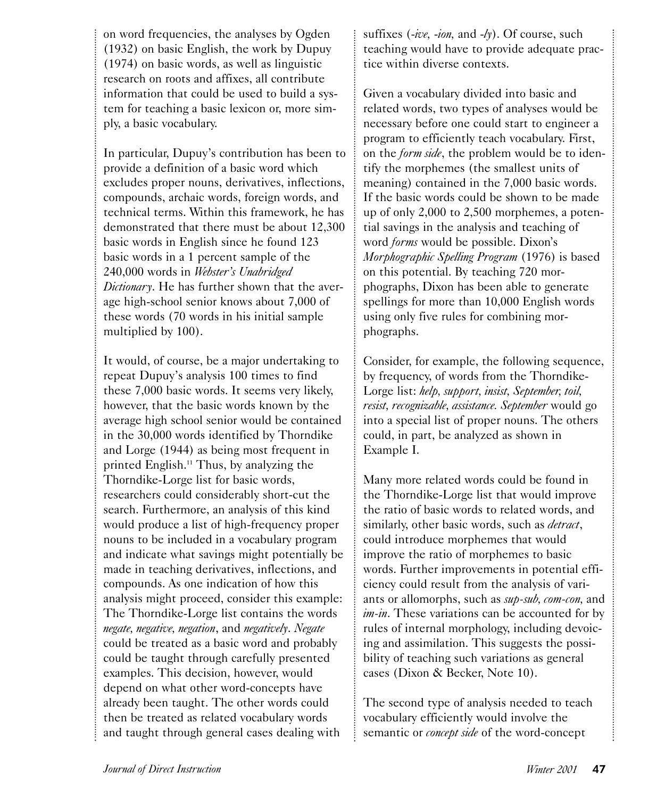on word frequencies, the analyses by Ogden (1932) on basic English, the work by Dupuy (1974) on basic words, as well as linguistic research on roots and affixes, all contribute information that could be used to build a system for teaching a basic lexicon or, more simply, a basic vocabulary.

In particular, Dupuy's contribution has been to provide a definition of a basic word which excludes proper nouns, derivatives, inflections, compounds, archaic words, foreign words, and technical terms. Within this framework, he has demonstrated that there must be about 12,300 basic words in English since he found 123 basic words in a 1 percent sample of the 240,000 words in *Webster's Unabridged Dictionary*. He has further shown that the average high-school senior knows about 7,000 of these words (70 words in his initial sample multiplied by 100).

It would, of course, be a major undertaking to repeat Dupuy's analysis 100 times to find these 7,000 basic words. It seems very likely, however, that the basic words known by the average high school senior would be contained in the 30,000 words identified by Thorndike and Lorge (1944) as being most frequent in printed English.11 Thus, by analyzing the Thorndike-Lorge list for basic words, researchers could considerably short-cut the search. Furthermore, an analysis of this kind would produce a list of high-frequency proper nouns to be included in a vocabulary program and indicate what savings might potentially be made in teaching derivatives, inflections, and compounds. As one indication of how this analysis might proceed, consider this example: The Thorndike-Lorge list contains the words *negate, negative, negation*, and *negatively*. *Negate* could be treated as a basic word and probably could be taught through carefully presented examples. This decision, however, would depend on what other word-concepts have already been taught. The other words could then be treated as related vocabulary words and taught through general cases dealing with

suffixes (-*ive,* -*ion,* and -*ly*). Of course, such teaching would have to provide adequate practice within diverse contexts.

Given a vocabulary divided into basic and related words, two types of analyses would be necessary before one could start to engineer a program to efficiently teach vocabulary. First, on the *form side*, the problem would be to identify the morphemes (the smallest units of meaning) contained in the 7,000 basic words. If the basic words could be shown to be made up of only 2,000 to 2,500 morphemes, a potential savings in the analysis and teaching of word *forms* would be possible. Dixon's *Morphographic Spelling Program* (1976) is based on this potential. By teaching 720 morphographs, Dixon has been able to generate spellings for more than 10,000 English words using only five rules for combining morphographs.

Consider, for example, the following sequence, by frequency, of words from the Thorndike-Lorge list: *help, support, insist, September, toil, resist, recognizable, assistance. September* would go into a special list of proper nouns. The others could, in part, be analyzed as shown in Example I.

Many more related words could be found in the Thorndike-Lorge list that would improve the ratio of basic words to related words, and similarly, other basic words, such as *detract*, could introduce morphemes that would improve the ratio of morphemes to basic words. Further improvements in potential efficiency could result from the analysis of variants or allomorphs, such as *sup-sub, com-con,* and *im-in*. These variations can be accounted for by rules of internal morphology, including devoicing and assimilation. This suggests the possibility of teaching such variations as general cases (Dixon & Becker, Note 10).

The second type of analysis needed to teach vocabulary efficiently would involve the semantic or *concept side* of the word-concept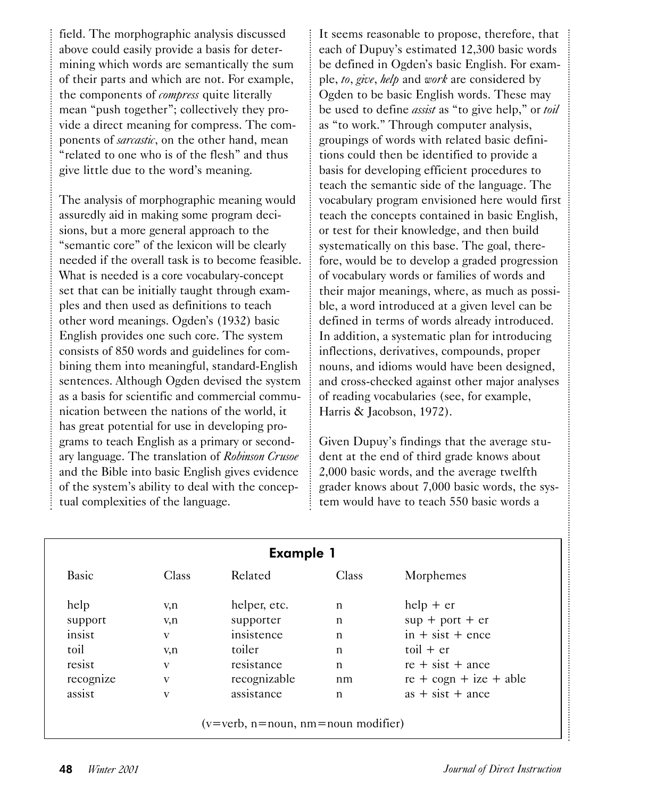field. The morphographic analysis discussed above could easily provide a basis for determining which words are semantically the sum of their parts and which are not. For example, the components of *compress* quite literally mean "push together"; collectively they provide a direct meaning for compress. The components of *sarcastic*, on the other hand, mean "related to one who is of the flesh" and thus give little due to the word's meaning.

The analysis of morphographic meaning would assuredly aid in making some program decisions, but a more general approach to the "semantic core" of the lexicon will be clearly needed if the overall task is to become feasible. What is needed is a core vocabulary-concept set that can be initially taught through examples and then used as definitions to teach other word meanings. Ogden's (1932) basic English provides one such core. The system consists of 850 words and guidelines for combining them into meaningful, standard-English sentences. Although Ogden devised the system as a basis for scientific and commercial communication between the nations of the world, it has great potential for use in developing programs to teach English as a primary or secondary language. The translation of *Robinson Crusoe* and the Bible into basic English gives evidence of the system's ability to deal with the conceptual complexities of the language.

It seems reasonable to propose, therefore, that each of Dupuy's estimated 12,300 basic words be defined in Ogden's basic English. For example, *to*, *give*, *help* and *work* are considered by Ogden to be basic English words. These may be used to define *assist* as "to give help," or *toil* as "to work." Through computer analysis, groupings of words with related basic definitions could then be identified to provide a basis for developing efficient procedures to teach the semantic side of the language. The vocabulary program envisioned here would first teach the concepts contained in basic English, or test for their knowledge, and then build systematically on this base. The goal, therefore, would be to develop a graded progression of vocabulary words or families of words and their major meanings, where, as much as possible, a word introduced at a given level can be defined in terms of words already introduced. In addition, a systematic plan for introducing inflections, derivatives, compounds, proper nouns, and idioms would have been designed, and cross-checked against other major analyses of reading vocabularies (see, for example, Harris & Jacobson, 1972).

Given Dupuy's findings that the average student at the end of third grade knows about 2,000 basic words, and the average twelfth grader knows about 7,000 basic words, the system would have to teach 550 basic words a

| <b>Example 1</b> |       |              |       |                                    |  |  |  |
|------------------|-------|--------------|-------|------------------------------------|--|--|--|
| Basic            | Class | Related      | Class | Morphemes                          |  |  |  |
| help             | v,n   | helper, etc. | n     | $help + cr$                        |  |  |  |
| support          | v,n   | supporter    | n     | $sup + port + er$                  |  |  |  |
| insist           | V     | insistence   | n     | $\sin + \text{sist} + \text{ence}$ |  |  |  |
| toil             | v,n   | toiler       | n     | $\text{toil}$ + $\text{er}$        |  |  |  |
| resist           | V     | resistance   | n     | $re + sist + a$                    |  |  |  |
| recognize        | V     | recognizable | nm    | $re + cogn + ize + able$           |  |  |  |
| assist           | V     | assistance   | n     | $as + sist + once$                 |  |  |  |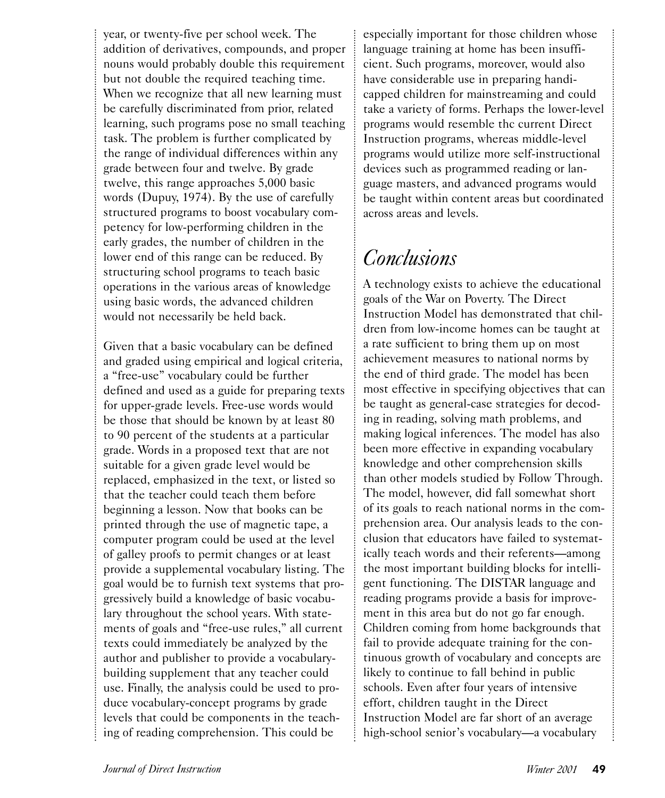year, or twenty-five per school week. The addition of derivatives, compounds, and proper nouns would probably double this requirement but not double the required teaching time. When we recognize that all new learning must be carefully discriminated from prior, related learning, such programs pose no small teaching task. The problem is further complicated by the range of individual differences within any grade between four and twelve. By grade twelve, this range approaches 5,000 basic words (Dupuy, 1974). By the use of carefully structured programs to boost vocabulary competency for low-performing children in the early grades, the number of children in the lower end of this range can be reduced. By structuring school programs to teach basic operations in the various areas of knowledge using basic words, the advanced children would not necessarily be held back.

Given that a basic vocabulary can be defined and graded using empirical and logical criteria, a "free-use" vocabulary could be further defined and used as a guide for preparing texts for upper-grade levels. Free-use words would be those that should be known by at least 80 to 90 percent of the students at a particular grade. Words in a proposed text that are not suitable for a given grade level would be replaced, emphasized in the text, or listed so that the teacher could teach them before beginning a lesson. Now that books can be printed through the use of magnetic tape, a computer program could be used at the level of galley proofs to permit changes or at least provide a supplemental vocabulary listing. The goal would be to furnish text systems that progressively build a knowledge of basic vocabulary throughout the school years. With statements of goals and "free-use rules," all current texts could immediately be analyzed by the author and publisher to provide a vocabularybuilding supplement that any teacher could use. Finally, the analysis could be used to produce vocabulary-concept programs by grade levels that could be components in the teaching of reading comprehension. This could be

especially important for those children whose language training at home has been insufficient. Such programs, moreover, would also have considerable use in preparing handicapped children for mainstreaming and could take a variety of forms. Perhaps the lower-level programs would resemble thc current Direct Instruction programs, whereas middle-level programs would utilize more self-instructional devices such as programmed reading or language masters, and advanced programs would be taught within content areas but coordinated across areas and levels.

# *Conclusions*

A technology exists to achieve the educational goals of the War on Poverty. The Direct Instruction Model has demonstrated that children from low-income homes can be taught at a rate sufficient to bring them up on most achievement measures to national norms by the end of third grade. The model has been most effective in specifying objectives that can be taught as general-case strategies for decoding in reading, solving math problems, and making logical inferences. The model has also been more effective in expanding vocabulary knowledge and other comprehension skills than other models studied by Follow Through. The model, however, did fall somewhat short of its goals to reach national norms in the comprehension area. Our analysis leads to the conclusion that educators have failed to systematically teach words and their referents—among the most important building blocks for intelligent functioning. The DISTAR language and reading programs provide a basis for improvement in this area but do not go far enough. Children coming from home backgrounds that fail to provide adequate training for the continuous growth of vocabulary and concepts are likely to continue to fall behind in public schools. Even after four years of intensive effort, children taught in the Direct Instruction Model are far short of an average high-school senior's vocabulary—a vocabulary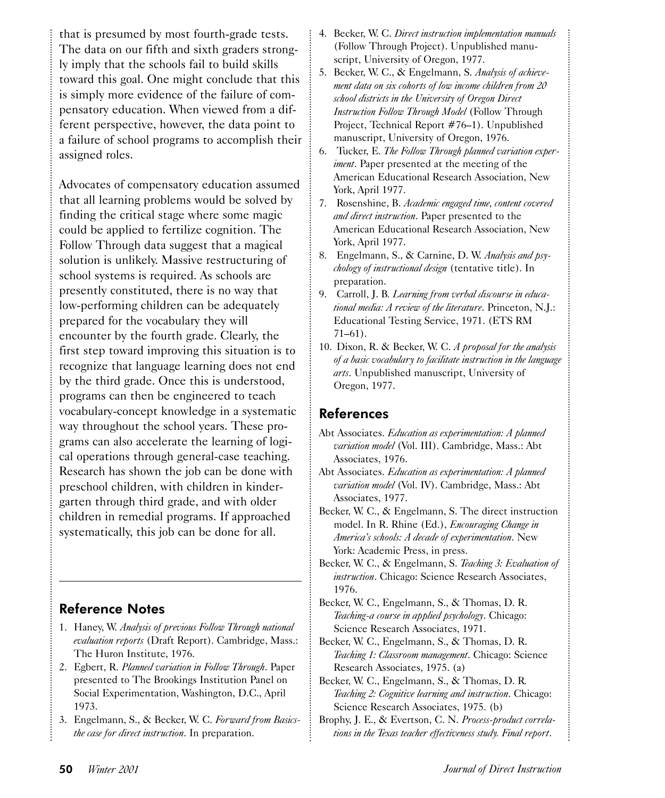that is presumed by most fourth-grade tests. The data on our fifth and sixth graders strongly imply that the schools fail to build skills toward this goal. One might conclude that this is simply more evidence of the failure of compensatory education. When viewed from a different perspective, however, the data point to a failure of school programs to accomplish their assigned roles.

Advocates of compensatory education assumed that all learning problems would be solved by finding the critical stage where some magic could be applied to fertilize cognition. The Follow Through data suggest that a magical solution is unlikely. Massive restructuring of school systems is required. As schools are presently constituted, there is no way that low-performing children can be adequately prepared for the vocabulary they will encounter by the fourth grade. Clearly, the first step toward improving this situation is to recognize that language learning does not end by the third grade. Once this is understood, programs can then be engineered to teach vocabulary-concept knowledge in a systematic way throughout the school years. These programs can also accelerate the learning of logical operations through general-case teaching. Research has shown the job can be done with preschool children, with children in kindergarten through third grade, and with older children in remedial programs. If approached systematically, this job can be done for all.

#### Reference Notes

- 1. Haney, W. *Analysis of previous Follow Through national evaluation reports* (Draft Report). Cambridge, Mass.: The Huron Institute, 1976.
- 2. Egbert, R. *Planned variation in Follow Through*. Paper presented to The Brookings Institution Panel on Social Experimentation, Washington, D.C., April 1973.
- 3. Engelmann, S., & Becker, W. C. *Forward from Basicsthe case for direct instruction*. In preparation.
- 4. Becker, W. C. *Direct instruction implementation manuals* (Follow Through Project). Unpublished manuscript, University of Oregon, 1977.
- 5. Becker, W. C., & Engelmann, S. *Analysis of achievement data on six cohorts of low income children from 20 school districts in the University of Oregon Direct Instruction Follow Through Model* (Follow Through Project, Technical Report #76–1). Unpublished manuscript, University of Oregon, 1976.
- 6. Tucker, E. *The Follow Through planned variation experiment*. Paper presented at the meeting of the American Educational Research Association, New York, April 1977.
- 7. Rosenshine, B. *Academic engaged time, content covered and direct instruction*. Paper presented to the American Educational Research Association, New York, April 1977.
- 8. Engelmann, S., & Carnine, D. W. *Analysis and psychology of instructional design* (tentative title). In preparation.
- 9. Carroll, J. B*. Learning from verbal discourse in educational media: A review of the literature*. Princeton, N.J.: Educational Testing Service, 1971. (ETS RM 71–61).
- 10. Dixon, R. & Becker, W. C. *A proposal for the analysis of a basic vocabulary to facilitate instruction in the language arts*. Unpublished manuscript, University of Oregon, 1977.

#### References

- Abt Associates. *Education as experimentation: A planned variation model* (Vol. III). Cambridge, Mass.: Abt Associates, 1976.
- Abt Associates. *Education as experimentation: A planned variation model* (Vol. IV). Cambridge, Mass.: Abt Associates, 1977.
- Becker, W. C., & Engelmann, S. The direct instruction model. In R. Rhine (Ed.), *Encouraging Change in America's schools: A decade of experimentation*. New York: Academic Press, in press.
- Becker, W. C., & Engelmann, S. *Teaching 3: Evaluation of instruction*. Chicago: Science Research Associates, 1976.
- Becker, W. C., Engelmann, S., & Thomas, D. R. *Teaching-a course in applied psychology*. Chicago: Science Research Associates, 1971.
- Becker, W. C., Engelmann, S., & Thomas, D. R. *Teaching 1: Classroom management*. Chicago: Science Research Associates, 1975. (a)
- Becker, W. C., Engelmann, S., & Thomas, D. R*. Teaching 2: Cognitive learning and instruction*. Chicago: Science Research Associates, 1975. (b)
- Brophy, J. E., & Evertson, C. N. *Process-product correlations in the Texas teacher effectiveness study. Final report*.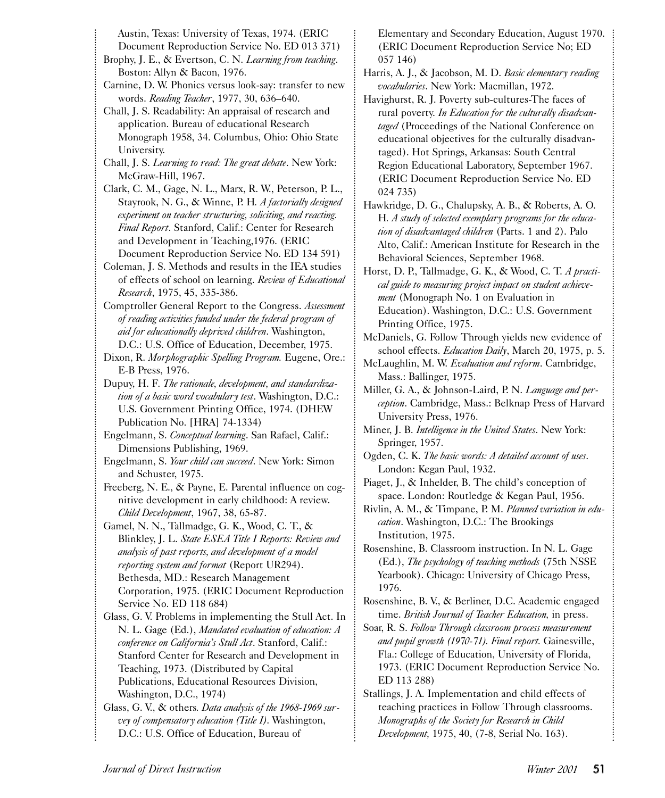Austin, Texas: University of Texas, 1974. (ERIC Document Reproduction Service No. ED 013 371)

- Brophy, J. E., & Evertson, C. N. *Learning from teaching*. Boston: Allyn & Bacon, 1976.
- Carnine, D. W. Phonics versus look-say: transfer to new words. *Reading Teacher*, 1977, 30, 636–640.
- Chall, J. S. Readability: An appraisal of research and application. Bureau of educational Research Monograph 1958, 34. Columbus, Ohio: Ohio State University.
- Chall, J. S. *Learning to read: The great debate*. New York: McGraw-Hill, 1967.
- Clark, C. M., Gage, N. L., Marx, R. W., Peterson, P. L., Stayrook, N. G., & Winne, P. H*. A factorially designed experiment on teacher structuring, soliciting, and reacting. Final Report*. Stanford, Calif.: Center for Research and Development in Teaching,1976. (ERIC Document Reproduction Service No. ED 134 591)
- Coleman, J. S. Methods and results in the IEA studies of effects of school on learning. *Review of Educational Research*, 1975, 45, 335-386.
- Comptroller General Report to the Congress. *Assessment of reading activities funded under the federal program of aid for educationally deprived children*. Washington, D.C.: U.S. Office of Education, December, 1975.
- Dixon, R. *Morphographic Spelling Program.* Eugene, Ore.: E-B Press, 1976.
- Dupuy, H. F*. The rationale, development, and standardization of a basic word vocabulary test*. Washington, D.C.: U.S. Government Printing Office, 1974. (DHEW Publication No. [HRA] 74-1334)
- Engelmann, S. *Conceptual learning*. San Rafael, Calif.: Dimensions Publishing, 1969.
- Engelmann, S. *Your child can succeed*. New York: Simon and Schuster, 1975.
- Freeberg, N. E., & Payne, E. Parental influence on cognitive development in early childhood: A review. *Child Development*, 1967, 38, 65-87.
- Gamel, N. N., Tallmadge, G. K., Wood, C. T., & Blinkley, J. L. *State ESEA Title I Reports: Review and analysis of past reports, and development of a model reporting system and format* (Report UR294). Bethesda, MD.: Research Management Corporation, 1975. (ERIC Document Reproduction Service No. ED 118 684)
- Glass, G. V. Problems in implementing the Stull Act. In N. L. Gage (Ed.), *Mandated evaluation of education: A conference on California's Stull Act*. Stanford, Calif.: Stanford Center for Research and Development in Teaching, 1973. (Distributed by Capital Publications, Educational Resources Division, Washington, D.C., 1974)
- Glass, G. V., & others*. Data analysis of the 1968-1969 survey of compensatory education (Title I)*. Washington, D.C.: U.S. Office of Education, Bureau of

Elementary and Secondary Education, August 1970. (ERIC Document Reproduction Service No; ED 057 146)

- Harris, A. J., & Jacobson, M. D. *Basic elementary reading vocabularies*. New York: Macmillan, 1972.
- Havighurst, R. J. Poverty sub-cultures-The faces of rural poverty. *In Education for the culturally disadvantaged* (Proceedings of the National Conference on educational objectives for the culturally disadvantaged). Hot Springs, Arkansas: South Central Region Educational Laboratory, September 1967. (ERIC Document Reproduction Service No. ED 024 735)
- Hawkridge, D. G., Chalupsky, A. B., & Roberts, A. O. H*. A study of selected exemplary programs for the education of disadvantaged children* (Parts. 1 and 2). Palo Alto, Calif.: American Institute for Research in the Behavioral Sciences, September 1968.
- Horst, D. P., Tallmadge, G. K., & Wood, C. T. *A practical guide to measuring project impact on student achievement* (Monograph No. 1 on Evaluation in Education). Washington, D.C.: U.S. Government Printing Office, 1975.
- McDaniels, G. Follow Through yields new evidence of school effects. *Education Daily*, March 20, 1975, p. 5.
- McLaughlin, M. W. *Evaluation and reform*. Cambridge, Mass.: Ballinger, 1975.
- Miller, G. A., & Johnson-Laird, P. N. *Language and perception*. Cambridge, Mass.: Belknap Press of Harvard University Press, 1976.
- Miner, J. B. *Intelligence in the United States*. New York: Springer, 1957.
- Ogden, C. K. *The basic words: A detailed account of uses*. London: Kegan Paul, 1932.
- Piaget, J., & Inhelder, B. The child's conception of space. London: Routledge & Kegan Paul, 1956.
- Rivlin, A. M., & Timpane, P. M. *Planned variation in education*. Washington, D.C.: The Brookings Institution, 1975.
- Rosenshine, B. Classroom instruction. In N. L. Gage (Ed.), *The psychology of teaching methods* (75th NSSE Yearbook). Chicago: University of Chicago Press, 1976.
- Rosenshine, B. V., & Berliner, D.C. Academic engaged time. *British Journal of Teacher Education,* in press.
- Soar, R. S. *Follow Through classroom process measurement and pupil growth (1970-71). Final report.* Gainesville, Fla.: College of Education, University of Florida, 1973. (ERIC Document Reproduction Service No. ED 113 288)
- Stallings, J. A. Implementation and child effects of teaching practices in Follow Through classrooms. *Monographs of the Society for Research in Child Development,* 1975, 40, (7-8, Serial No. 163).